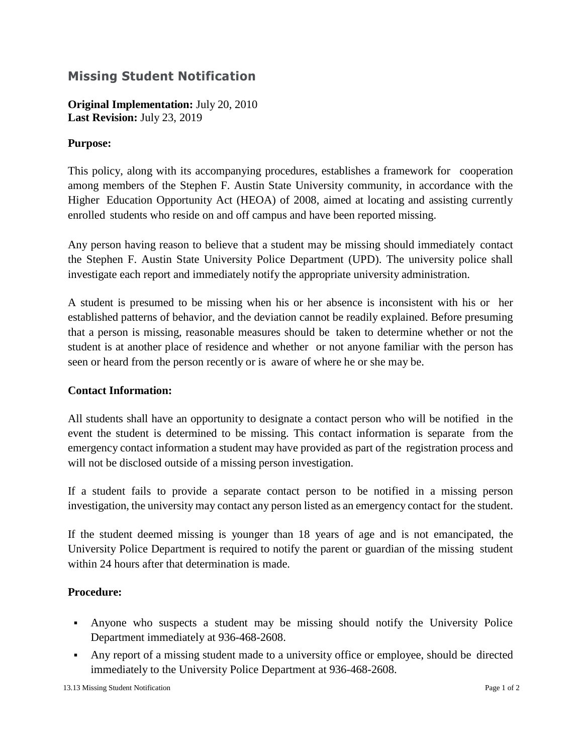# **Missing Student Notification**

**Original Implementation:** July 20, 2010 **Last Revision:** July 23, 2019

### **Purpose:**

This policy, along with its accompanying procedures, establishes a framework for cooperation among members of the Stephen F. Austin State University community, in accordance with the Higher Education Opportunity Act (HEOA) of 2008, aimed at locating and assisting currently enrolled students who reside on and off campus and have been reported missing.

Any person having reason to believe that a student may be missing should immediately contact the Stephen F. Austin State University Police Department (UPD). The university police shall investigate each report and immediately notify the appropriate university administration.

A student is presumed to be missing when his or her absence is inconsistent with his or her established patterns of behavior, and the deviation cannot be readily explained. Before presuming that a person is missing, reasonable measures should be taken to determine whether or not the student is at another place of residence and whether or not anyone familiar with the person has seen or heard from the person recently or is aware of where he or she may be.

### **Contact Information:**

All students shall have an opportunity to designate a contact person who will be notified in the event the student is determined to be missing. This contact information is separate from the emergency contact information a student may have provided as part of the registration process and will not be disclosed outside of a missing person investigation.

If a student fails to provide a separate contact person to be notified in a missing person investigation, the university may contact any person listed as an emergency contact for the student.

If the student deemed missing is younger than 18 years of age and is not emancipated, the University Police Department is required to notify the parent or guardian of the missing student within 24 hours after that determination is made.

### **Procedure:**

- Anyone who suspects a student may be missing should notify the University Police Department immediately at 936-468-2608.
- Any report of a missing student made to a university office or employee, should be directed immediately to the University Police Department at 936-468-2608.